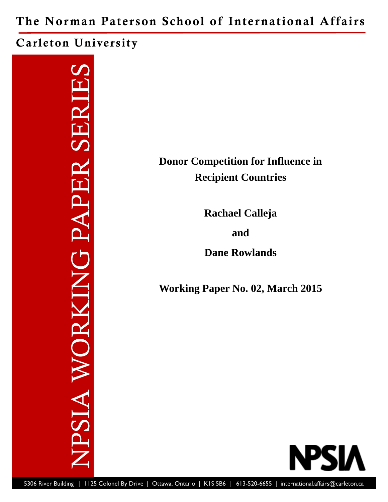The Norman Paterson School of International Affairs

Carleton University

NPSIA WORKING PAPER SERIES **TPSIA WORKING PAPER SERIE** 

**Donor Competition for Influence in Recipient Countries** 

**Rachael Calleja** 

**and** 

**Dane Rowlands** 

**Working Paper No. 02, March 2015** 

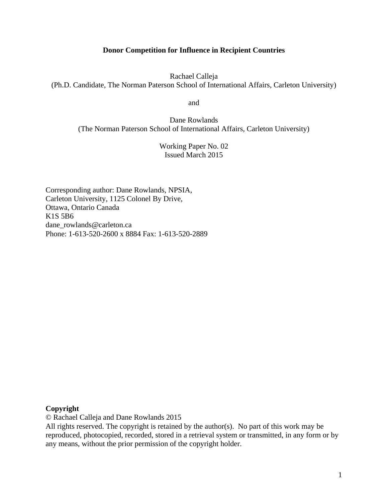# **Donor Competition for Influence in Recipient Countries**

Rachael Calleja (Ph.D. Candidate, The Norman Paterson School of International Affairs, Carleton University)

and

Dane Rowlands (The Norman Paterson School of International Affairs, Carleton University)

> Working Paper No. 02 Issued March 2015

Corresponding author: Dane Rowlands, NPSIA, Carleton University, 1125 Colonel By Drive, Ottawa, Ontario Canada K1S 5B6 dane\_rowlands@carleton.ca Phone: 1-613-520-2600 x 8884 Fax: 1-613-520-2889

## **Copyright**

© Rachael Calleja and Dane Rowlands 2015

All rights reserved. The copyright is retained by the author(s). No part of this work may be reproduced, photocopied, recorded, stored in a retrieval system or transmitted, in any form or by any means, without the prior permission of the copyright holder.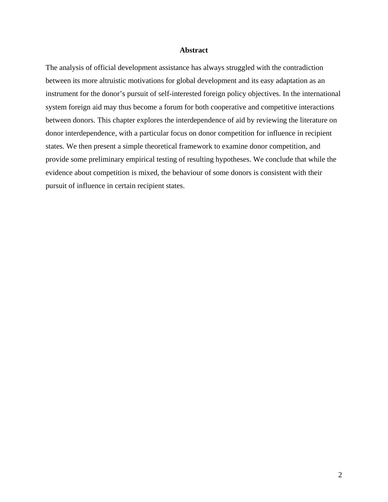#### **Abstract**

The analysis of official development assistance has always struggled with the contradiction between its more altruistic motivations for global development and its easy adaptation as an instrument for the donor's pursuit of self-interested foreign policy objectives. In the international system foreign aid may thus become a forum for both cooperative and competitive interactions between donors. This chapter explores the interdependence of aid by reviewing the literature on donor interdependence, with a particular focus on donor competition for influence in recipient states. We then present a simple theoretical framework to examine donor competition, and provide some preliminary empirical testing of resulting hypotheses. We conclude that while the evidence about competition is mixed, the behaviour of some donors is consistent with their pursuit of influence in certain recipient states.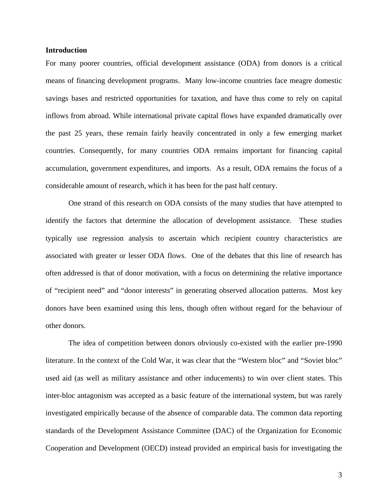### **Introduction**

For many poorer countries, official development assistance (ODA) from donors is a critical means of financing development programs. Many low-income countries face meagre domestic savings bases and restricted opportunities for taxation, and have thus come to rely on capital inflows from abroad. While international private capital flows have expanded dramatically over the past 25 years, these remain fairly heavily concentrated in only a few emerging market countries. Consequently, for many countries ODA remains important for financing capital accumulation, government expenditures, and imports. As a result, ODA remains the focus of a considerable amount of research, which it has been for the past half century.

 One strand of this research on ODA consists of the many studies that have attempted to identify the factors that determine the allocation of development assistance. These studies typically use regression analysis to ascertain which recipient country characteristics are associated with greater or lesser ODA flows. One of the debates that this line of research has often addressed is that of donor motivation, with a focus on determining the relative importance of "recipient need" and "donor interests" in generating observed allocation patterns. Most key donors have been examined using this lens, though often without regard for the behaviour of other donors.

 The idea of competition between donors obviously co-existed with the earlier pre-1990 literature. In the context of the Cold War, it was clear that the "Western bloc" and "Soviet bloc" used aid (as well as military assistance and other inducements) to win over client states. This inter-bloc antagonism was accepted as a basic feature of the international system, but was rarely investigated empirically because of the absence of comparable data. The common data reporting standards of the Development Assistance Committee (DAC) of the Organization for Economic Cooperation and Development (OECD) instead provided an empirical basis for investigating the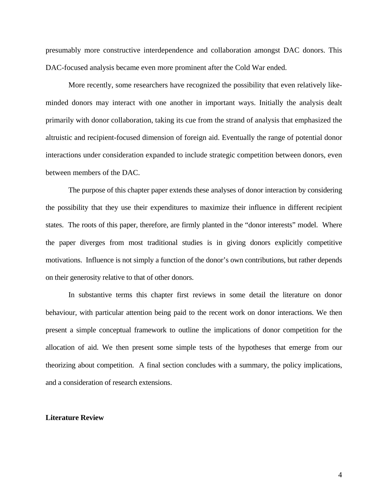presumably more constructive interdependence and collaboration amongst DAC donors. This DAC-focused analysis became even more prominent after the Cold War ended.

 More recently, some researchers have recognized the possibility that even relatively likeminded donors may interact with one another in important ways. Initially the analysis dealt primarily with donor collaboration, taking its cue from the strand of analysis that emphasized the altruistic and recipient-focused dimension of foreign aid. Eventually the range of potential donor interactions under consideration expanded to include strategic competition between donors, even between members of the DAC.

 The purpose of this chapter paper extends these analyses of donor interaction by considering the possibility that they use their expenditures to maximize their influence in different recipient states. The roots of this paper, therefore, are firmly planted in the "donor interests" model. Where the paper diverges from most traditional studies is in giving donors explicitly competitive motivations. Influence is not simply a function of the donor's own contributions, but rather depends on their generosity relative to that of other donors.

 In substantive terms this chapter first reviews in some detail the literature on donor behaviour, with particular attention being paid to the recent work on donor interactions. We then present a simple conceptual framework to outline the implications of donor competition for the allocation of aid. We then present some simple tests of the hypotheses that emerge from our theorizing about competition. A final section concludes with a summary, the policy implications, and a consideration of research extensions.

#### **Literature Review**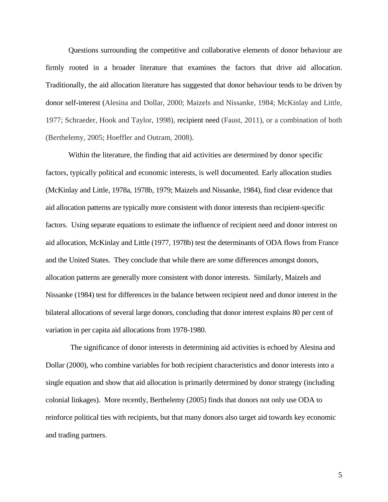Questions surrounding the competitive and collaborative elements of donor behaviour are firmly rooted in a broader literature that examines the factors that drive aid allocation. Traditionally, the aid allocation literature has suggested that donor behaviour tends to be driven by donor self-interest (Alesina and Dollar, 2000; Maizels and Nissanke, 1984; McKinlay and Little, 1977; Schraeder, Hook and Taylor, 1998), recipient need (Faust, 2011), or a combination of both (Berthelemy, 2005; Hoeffler and Outram, 2008).

 Within the literature, the finding that aid activities are determined by donor specific factors, typically political and economic interests, is well documented. Early allocation studies (McKinlay and Little, 1978a, 1978b, 1979; Maizels and Nissanke, 1984), find clear evidence that aid allocation patterns are typically more consistent with donor interests than recipient-specific factors. Using separate equations to estimate the influence of recipient need and donor interest on aid allocation, McKinlay and Little (1977, 1978b) test the determinants of ODA flows from France and the United States. They conclude that while there are some differences amongst donors, allocation patterns are generally more consistent with donor interests. Similarly, Maizels and Nissanke (1984) test for differences in the balance between recipient need and donor interest in the bilateral allocations of several large donors, concluding that donor interest explains 80 per cent of variation in per capita aid allocations from 1978-1980.

 The significance of donor interests in determining aid activities is echoed by Alesina and Dollar (2000), who combine variables for both recipient characteristics and donor interests into a single equation and show that aid allocation is primarily determined by donor strategy (including colonial linkages). More recently, Berthelemy (2005) finds that donors not only use ODA to reinforce political ties with recipients, but that many donors also target aid towards key economic and trading partners.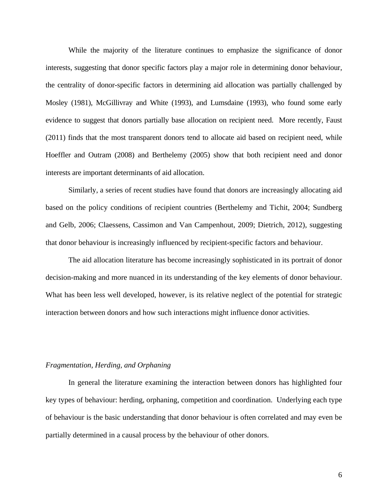While the majority of the literature continues to emphasize the significance of donor interests, suggesting that donor specific factors play a major role in determining donor behaviour, the centrality of donor-specific factors in determining aid allocation was partially challenged by Mosley (1981), McGillivray and White (1993), and Lumsdaine (1993), who found some early evidence to suggest that donors partially base allocation on recipient need. More recently, Faust (2011) finds that the most transparent donors tend to allocate aid based on recipient need, while Hoeffler and Outram (2008) and Berthelemy (2005) show that both recipient need and donor interests are important determinants of aid allocation.

 Similarly, a series of recent studies have found that donors are increasingly allocating aid based on the policy conditions of recipient countries (Berthelemy and Tichit, 2004; Sundberg and Gelb, 2006; Claessens, Cassimon and Van Campenhout, 2009; Dietrich, 2012), suggesting that donor behaviour is increasingly influenced by recipient-specific factors and behaviour.

 The aid allocation literature has become increasingly sophisticated in its portrait of donor decision-making and more nuanced in its understanding of the key elements of donor behaviour. What has been less well developed, however, is its relative neglect of the potential for strategic interaction between donors and how such interactions might influence donor activities.

#### *Fragmentation, Herding, and Orphaning*

 In general the literature examining the interaction between donors has highlighted four key types of behaviour: herding, orphaning, competition and coordination. Underlying each type of behaviour is the basic understanding that donor behaviour is often correlated and may even be partially determined in a causal process by the behaviour of other donors.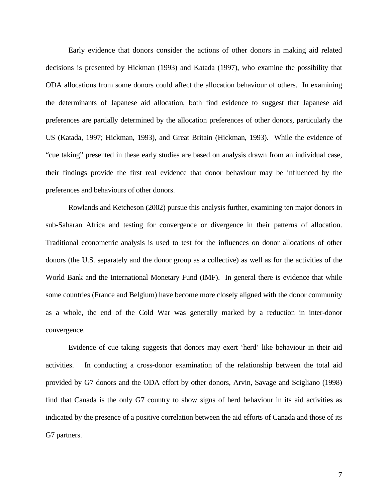Early evidence that donors consider the actions of other donors in making aid related decisions is presented by Hickman (1993) and Katada (1997), who examine the possibility that ODA allocations from some donors could affect the allocation behaviour of others. In examining the determinants of Japanese aid allocation, both find evidence to suggest that Japanese aid preferences are partially determined by the allocation preferences of other donors, particularly the US (Katada, 1997; Hickman, 1993), and Great Britain (Hickman, 1993). While the evidence of "cue taking" presented in these early studies are based on analysis drawn from an individual case, their findings provide the first real evidence that donor behaviour may be influenced by the preferences and behaviours of other donors.

 Rowlands and Ketcheson (2002) pursue this analysis further, examining ten major donors in sub-Saharan Africa and testing for convergence or divergence in their patterns of allocation. Traditional econometric analysis is used to test for the influences on donor allocations of other donors (the U.S. separately and the donor group as a collective) as well as for the activities of the World Bank and the International Monetary Fund (IMF). In general there is evidence that while some countries (France and Belgium) have become more closely aligned with the donor community as a whole, the end of the Cold War was generally marked by a reduction in inter-donor convergence.

 Evidence of cue taking suggests that donors may exert 'herd' like behaviour in their aid activities. In conducting a cross-donor examination of the relationship between the total aid provided by G7 donors and the ODA effort by other donors, Arvin, Savage and Scigliano (1998) find that Canada is the only G7 country to show signs of herd behaviour in its aid activities as indicated by the presence of a positive correlation between the aid efforts of Canada and those of its G7 partners.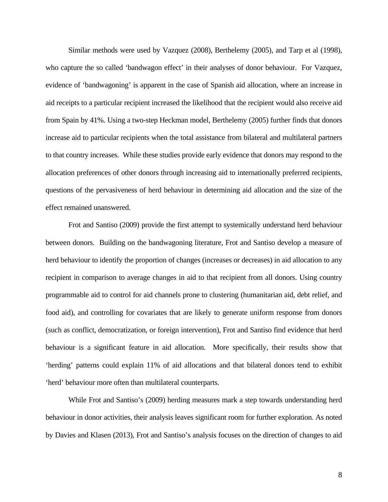Similar methods were used by Vazquez (2008), Berthelemy (2005), and Tarp et al (1998), who capture the so called 'bandwagon effect' in their analyses of donor behaviour. For Vazquez, evidence of 'bandwagoning' is apparent in the case of Spanish aid allocation, where an increase in aid receipts to a particular recipient increased the likelihood that the recipient would also receive aid from Spain by 41%. Using a two-step Heckman model, Berthelemy (2005) further finds that donors increase aid to particular recipients when the total assistance from bilateral and multilateral partners to that country increases. While these studies provide early evidence that donors may respond to the allocation preferences of other donors through increasing aid to internationally preferred recipients, questions of the pervasiveness of herd behaviour in determining aid allocation and the size of the effect remained unanswered.

 Frot and Santiso (2009) provide the first attempt to systemically understand herd behaviour between donors. Building on the bandwagoning literature, Frot and Santiso develop a measure of herd behaviour to identify the proportion of changes (increases or decreases) in aid allocation to any recipient in comparison to average changes in aid to that recipient from all donors. Using country programmable aid to control for aid channels prone to clustering (humanitarian aid, debt relief, and food aid), and controlling for covariates that are likely to generate uniform response from donors (such as conflict, democratization, or foreign intervention), Frot and Santiso find evidence that herd behaviour is a significant feature in aid allocation. More specifically, their results show that 'herding' patterns could explain 11% of aid allocations and that bilateral donors tend to exhibit 'herd' behaviour more often than multilateral counterparts.

 While Frot and Santiso's (2009) herding measures mark a step towards understanding herd behaviour in donor activities, their analysis leaves significant room for further exploration. As noted by Davies and Klasen (2013), Frot and Santiso's analysis focuses on the direction of changes to aid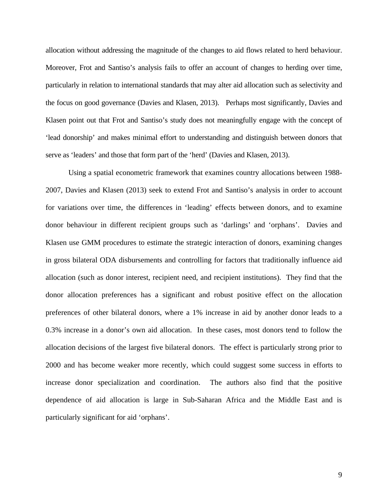allocation without addressing the magnitude of the changes to aid flows related to herd behaviour. Moreover, Frot and Santiso's analysis fails to offer an account of changes to herding over time, particularly in relation to international standards that may alter aid allocation such as selectivity and the focus on good governance (Davies and Klasen, 2013). Perhaps most significantly, Davies and Klasen point out that Frot and Santiso's study does not meaningfully engage with the concept of 'lead donorship' and makes minimal effort to understanding and distinguish between donors that serve as 'leaders' and those that form part of the 'herd' (Davies and Klasen, 2013).

 Using a spatial econometric framework that examines country allocations between 1988- 2007, Davies and Klasen (2013) seek to extend Frot and Santiso's analysis in order to account for variations over time, the differences in 'leading' effects between donors, and to examine donor behaviour in different recipient groups such as 'darlings' and 'orphans'. Davies and Klasen use GMM procedures to estimate the strategic interaction of donors, examining changes in gross bilateral ODA disbursements and controlling for factors that traditionally influence aid allocation (such as donor interest, recipient need, and recipient institutions). They find that the donor allocation preferences has a significant and robust positive effect on the allocation preferences of other bilateral donors, where a 1% increase in aid by another donor leads to a 0.3% increase in a donor's own aid allocation. In these cases, most donors tend to follow the allocation decisions of the largest five bilateral donors. The effect is particularly strong prior to 2000 and has become weaker more recently, which could suggest some success in efforts to increase donor specialization and coordination. The authors also find that the positive dependence of aid allocation is large in Sub-Saharan Africa and the Middle East and is particularly significant for aid 'orphans'.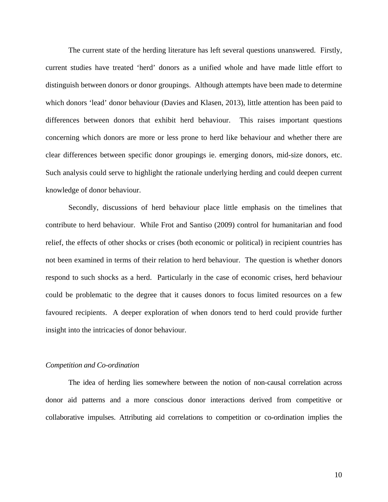The current state of the herding literature has left several questions unanswered. Firstly, current studies have treated 'herd' donors as a unified whole and have made little effort to distinguish between donors or donor groupings. Although attempts have been made to determine which donors 'lead' donor behaviour (Davies and Klasen, 2013), little attention has been paid to differences between donors that exhibit herd behaviour. This raises important questions concerning which donors are more or less prone to herd like behaviour and whether there are clear differences between specific donor groupings ie. emerging donors, mid-size donors, etc. Such analysis could serve to highlight the rationale underlying herding and could deepen current knowledge of donor behaviour.

 Secondly, discussions of herd behaviour place little emphasis on the timelines that contribute to herd behaviour. While Frot and Santiso (2009) control for humanitarian and food relief, the effects of other shocks or crises (both economic or political) in recipient countries has not been examined in terms of their relation to herd behaviour. The question is whether donors respond to such shocks as a herd. Particularly in the case of economic crises, herd behaviour could be problematic to the degree that it causes donors to focus limited resources on a few favoured recipients. A deeper exploration of when donors tend to herd could provide further insight into the intricacies of donor behaviour.

#### *Competition and Co-ordination*

 The idea of herding lies somewhere between the notion of non-causal correlation across donor aid patterns and a more conscious donor interactions derived from competitive or collaborative impulses. Attributing aid correlations to competition or co-ordination implies the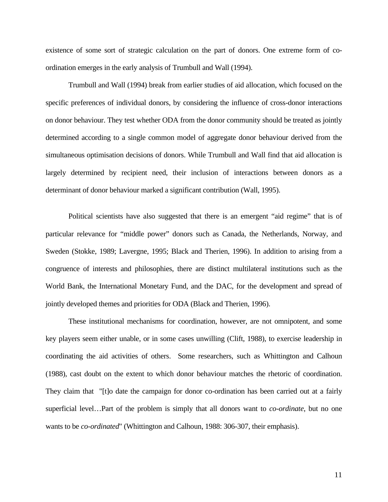existence of some sort of strategic calculation on the part of donors. One extreme form of coordination emerges in the early analysis of Trumbull and Wall (1994).

 Trumbull and Wall (1994) break from earlier studies of aid allocation, which focused on the specific preferences of individual donors, by considering the influence of cross-donor interactions on donor behaviour. They test whether ODA from the donor community should be treated as jointly determined according to a single common model of aggregate donor behaviour derived from the simultaneous optimisation decisions of donors. While Trumbull and Wall find that aid allocation is largely determined by recipient need, their inclusion of interactions between donors as a determinant of donor behaviour marked a significant contribution (Wall, 1995).

 Political scientists have also suggested that there is an emergent "aid regime" that is of particular relevance for "middle power" donors such as Canada, the Netherlands, Norway, and Sweden (Stokke, 1989; Lavergne, 1995; Black and Therien, 1996). In addition to arising from a congruence of interests and philosophies, there are distinct multilateral institutions such as the World Bank, the International Monetary Fund, and the DAC, for the development and spread of jointly developed themes and priorities for ODA (Black and Therien, 1996).

 These institutional mechanisms for coordination, however, are not omnipotent, and some key players seem either unable, or in some cases unwilling (Clift, 1988), to exercise leadership in coordinating the aid activities of others. Some researchers, such as Whittington and Calhoun (1988), cast doubt on the extent to which donor behaviour matches the rhetoric of coordination. They claim that "[t]o date the campaign for donor co-ordination has been carried out at a fairly superficial level…Part of the problem is simply that all donors want to *co-ordinate*, but no one wants to be *co-ordinated*" (Whittington and Calhoun, 1988: 306-307, their emphasis).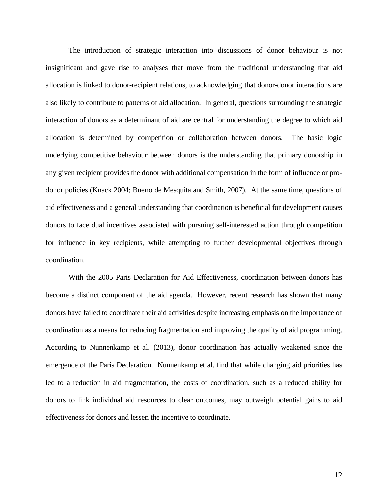The introduction of strategic interaction into discussions of donor behaviour is not insignificant and gave rise to analyses that move from the traditional understanding that aid allocation is linked to donor-recipient relations, to acknowledging that donor-donor interactions are also likely to contribute to patterns of aid allocation. In general, questions surrounding the strategic interaction of donors as a determinant of aid are central for understanding the degree to which aid allocation is determined by competition or collaboration between donors. The basic logic underlying competitive behaviour between donors is the understanding that primary donorship in any given recipient provides the donor with additional compensation in the form of influence or prodonor policies (Knack 2004; Bueno de Mesquita and Smith, 2007). At the same time, questions of aid effectiveness and a general understanding that coordination is beneficial for development causes donors to face dual incentives associated with pursuing self-interested action through competition for influence in key recipients, while attempting to further developmental objectives through coordination.

 With the 2005 Paris Declaration for Aid Effectiveness, coordination between donors has become a distinct component of the aid agenda. However, recent research has shown that many donors have failed to coordinate their aid activities despite increasing emphasis on the importance of coordination as a means for reducing fragmentation and improving the quality of aid programming. According to Nunnenkamp et al. (2013), donor coordination has actually weakened since the emergence of the Paris Declaration. Nunnenkamp et al. find that while changing aid priorities has led to a reduction in aid fragmentation, the costs of coordination, such as a reduced ability for donors to link individual aid resources to clear outcomes, may outweigh potential gains to aid effectiveness for donors and lessen the incentive to coordinate.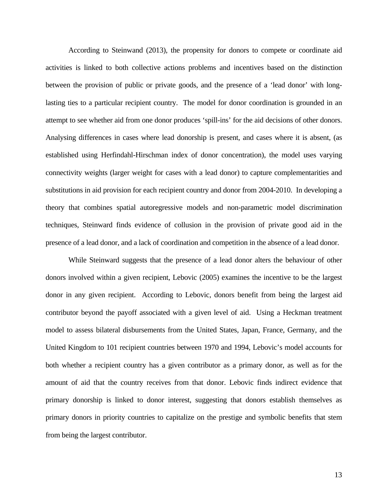According to Steinwand (2013), the propensity for donors to compete or coordinate aid activities is linked to both collective actions problems and incentives based on the distinction between the provision of public or private goods, and the presence of a 'lead donor' with longlasting ties to a particular recipient country. The model for donor coordination is grounded in an attempt to see whether aid from one donor produces 'spill-ins' for the aid decisions of other donors. Analysing differences in cases where lead donorship is present, and cases where it is absent, (as established using Herfindahl-Hirschman index of donor concentration), the model uses varying connectivity weights (larger weight for cases with a lead donor) to capture complementarities and substitutions in aid provision for each recipient country and donor from 2004-2010. In developing a theory that combines spatial autoregressive models and non-parametric model discrimination techniques, Steinward finds evidence of collusion in the provision of private good aid in the presence of a lead donor, and a lack of coordination and competition in the absence of a lead donor.

 While Steinward suggests that the presence of a lead donor alters the behaviour of other donors involved within a given recipient, Lebovic (2005) examines the incentive to be the largest donor in any given recipient. According to Lebovic, donors benefit from being the largest aid contributor beyond the payoff associated with a given level of aid. Using a Heckman treatment model to assess bilateral disbursements from the United States, Japan, France, Germany, and the United Kingdom to 101 recipient countries between 1970 and 1994, Lebovic's model accounts for both whether a recipient country has a given contributor as a primary donor, as well as for the amount of aid that the country receives from that donor. Lebovic finds indirect evidence that primary donorship is linked to donor interest, suggesting that donors establish themselves as primary donors in priority countries to capitalize on the prestige and symbolic benefits that stem from being the largest contributor.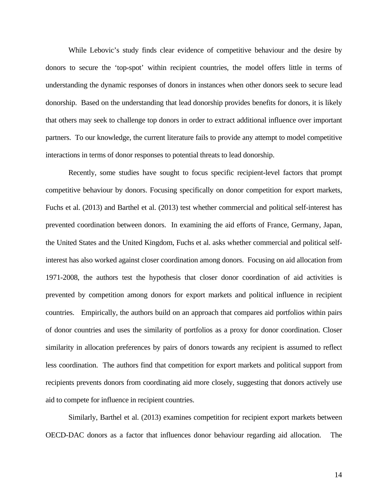While Lebovic's study finds clear evidence of competitive behaviour and the desire by donors to secure the 'top-spot' within recipient countries, the model offers little in terms of understanding the dynamic responses of donors in instances when other donors seek to secure lead donorship. Based on the understanding that lead donorship provides benefits for donors, it is likely that others may seek to challenge top donors in order to extract additional influence over important partners. To our knowledge, the current literature fails to provide any attempt to model competitive interactions in terms of donor responses to potential threats to lead donorship.

 Recently, some studies have sought to focus specific recipient-level factors that prompt competitive behaviour by donors. Focusing specifically on donor competition for export markets, Fuchs et al. (2013) and Barthel et al. (2013) test whether commercial and political self-interest has prevented coordination between donors. In examining the aid efforts of France, Germany, Japan, the United States and the United Kingdom, Fuchs et al. asks whether commercial and political selfinterest has also worked against closer coordination among donors. Focusing on aid allocation from 1971-2008, the authors test the hypothesis that closer donor coordination of aid activities is prevented by competition among donors for export markets and political influence in recipient countries. Empirically, the authors build on an approach that compares aid portfolios within pairs of donor countries and uses the similarity of portfolios as a proxy for donor coordination. Closer similarity in allocation preferences by pairs of donors towards any recipient is assumed to reflect less coordination. The authors find that competition for export markets and political support from recipients prevents donors from coordinating aid more closely, suggesting that donors actively use aid to compete for influence in recipient countries.

 Similarly, Barthel et al. (2013) examines competition for recipient export markets between OECD-DAC donors as a factor that influences donor behaviour regarding aid allocation. The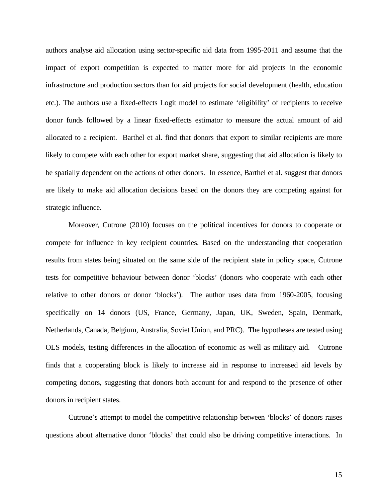authors analyse aid allocation using sector-specific aid data from 1995-2011 and assume that the impact of export competition is expected to matter more for aid projects in the economic infrastructure and production sectors than for aid projects for social development (health, education etc.). The authors use a fixed-effects Logit model to estimate 'eligibility' of recipients to receive donor funds followed by a linear fixed-effects estimator to measure the actual amount of aid allocated to a recipient. Barthel et al. find that donors that export to similar recipients are more likely to compete with each other for export market share, suggesting that aid allocation is likely to be spatially dependent on the actions of other donors. In essence, Barthel et al. suggest that donors are likely to make aid allocation decisions based on the donors they are competing against for strategic influence.

 Moreover, Cutrone (2010) focuses on the political incentives for donors to cooperate or compete for influence in key recipient countries. Based on the understanding that cooperation results from states being situated on the same side of the recipient state in policy space, Cutrone tests for competitive behaviour between donor 'blocks' (donors who cooperate with each other relative to other donors or donor 'blocks'). The author uses data from 1960-2005, focusing specifically on 14 donors (US, France, Germany, Japan, UK, Sweden, Spain, Denmark, Netherlands, Canada, Belgium, Australia, Soviet Union, and PRC). The hypotheses are tested using OLS models, testing differences in the allocation of economic as well as military aid. Cutrone finds that a cooperating block is likely to increase aid in response to increased aid levels by competing donors, suggesting that donors both account for and respond to the presence of other donors in recipient states.

 Cutrone's attempt to model the competitive relationship between 'blocks' of donors raises questions about alternative donor 'blocks' that could also be driving competitive interactions. In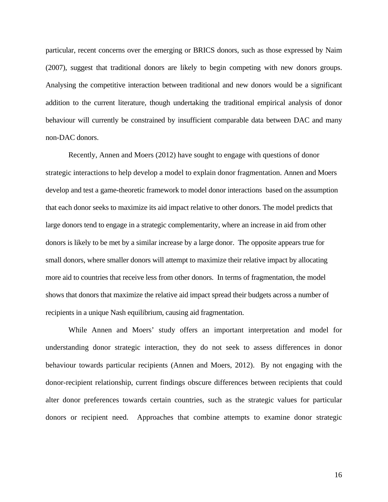particular, recent concerns over the emerging or BRICS donors, such as those expressed by Naim (2007), suggest that traditional donors are likely to begin competing with new donors groups. Analysing the competitive interaction between traditional and new donors would be a significant addition to the current literature, though undertaking the traditional empirical analysis of donor behaviour will currently be constrained by insufficient comparable data between DAC and many non-DAC donors.

Recently, Annen and Moers (2012) have sought to engage with questions of donor strategic interactions to help develop a model to explain donor fragmentation. Annen and Moers develop and test a game-theoretic framework to model donor interactions based on the assumption that each donor seeks to maximize its aid impact relative to other donors. The model predicts that large donors tend to engage in a strategic complementarity, where an increase in aid from other donors is likely to be met by a similar increase by a large donor. The opposite appears true for small donors, where smaller donors will attempt to maximize their relative impact by allocating more aid to countries that receive less from other donors. In terms of fragmentation, the model shows that donors that maximize the relative aid impact spread their budgets across a number of recipients in a unique Nash equilibrium, causing aid fragmentation.

 While Annen and Moers' study offers an important interpretation and model for understanding donor strategic interaction, they do not seek to assess differences in donor behaviour towards particular recipients (Annen and Moers, 2012). By not engaging with the donor-recipient relationship, current findings obscure differences between recipients that could alter donor preferences towards certain countries, such as the strategic values for particular donors or recipient need. Approaches that combine attempts to examine donor strategic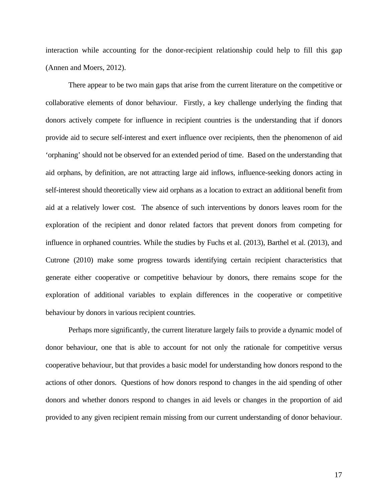interaction while accounting for the donor-recipient relationship could help to fill this gap (Annen and Moers, 2012).

 There appear to be two main gaps that arise from the current literature on the competitive or collaborative elements of donor behaviour. Firstly, a key challenge underlying the finding that donors actively compete for influence in recipient countries is the understanding that if donors provide aid to secure self-interest and exert influence over recipients, then the phenomenon of aid 'orphaning' should not be observed for an extended period of time. Based on the understanding that aid orphans, by definition, are not attracting large aid inflows, influence-seeking donors acting in self-interest should theoretically view aid orphans as a location to extract an additional benefit from aid at a relatively lower cost. The absence of such interventions by donors leaves room for the exploration of the recipient and donor related factors that prevent donors from competing for influence in orphaned countries. While the studies by Fuchs et al. (2013), Barthel et al. (2013), and Cutrone (2010) make some progress towards identifying certain recipient characteristics that generate either cooperative or competitive behaviour by donors, there remains scope for the exploration of additional variables to explain differences in the cooperative or competitive behaviour by donors in various recipient countries.

 Perhaps more significantly, the current literature largely fails to provide a dynamic model of donor behaviour, one that is able to account for not only the rationale for competitive versus cooperative behaviour, but that provides a basic model for understanding how donors respond to the actions of other donors. Questions of how donors respond to changes in the aid spending of other donors and whether donors respond to changes in aid levels or changes in the proportion of aid provided to any given recipient remain missing from our current understanding of donor behaviour.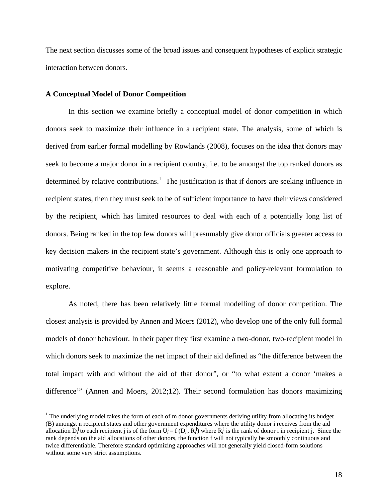The next section discusses some of the broad issues and consequent hypotheses of explicit strategic interaction between donors.

#### **A Conceptual Model of Donor Competition**

 $\overline{a}$ 

 In this section we examine briefly a conceptual model of donor competition in which donors seek to maximize their influence in a recipient state. The analysis, some of which is derived from earlier formal modelling by Rowlands (2008), focuses on the idea that donors may seek to become a major donor in a recipient country, i.e. to be amongst the top ranked donors as determined by relative contributions.<sup>1</sup> The justification is that if donors are seeking influence in recipient states, then they must seek to be of sufficient importance to have their views considered by the recipient, which has limited resources to deal with each of a potentially long list of donors. Being ranked in the top few donors will presumably give donor officials greater access to key decision makers in the recipient state's government. Although this is only one approach to motivating competitive behaviour, it seems a reasonable and policy-relevant formulation to explore.

 As noted, there has been relatively little formal modelling of donor competition. The closest analysis is provided by Annen and Moers (2012), who develop one of the only full formal models of donor behaviour. In their paper they first examine a two-donor, two-recipient model in which donors seek to maximize the net impact of their aid defined as "the difference between the total impact with and without the aid of that donor", or "to what extent a donor 'makes a difference'" (Annen and Moers, 2012;12). Their second formulation has donors maximizing

<sup>&</sup>lt;sup>1</sup> The underlying model takes the form of each of m donor governments deriving utility from allocating its budget (B) amongst n recipient states and other government expenditures where the utility donor i receives from the aid allocation  $D_i^j$  to each recipient j is of the form  $U_i^j = f(D_i^j, R_i^j)$  where  $R_i^j$  is the rank of donor i in recipient j. Since the rank depends on the aid allocations of other donors, the function f will not typically be smoothly continuous and twice differentiable. Therefore standard optimizing approaches will not generally yield closed-form solutions without some very strict assumptions.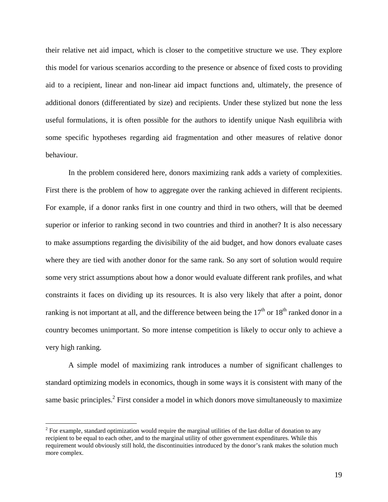their relative net aid impact, which is closer to the competitive structure we use. They explore this model for various scenarios according to the presence or absence of fixed costs to providing aid to a recipient, linear and non-linear aid impact functions and, ultimately, the presence of additional donors (differentiated by size) and recipients. Under these stylized but none the less useful formulations, it is often possible for the authors to identify unique Nash equilibria with some specific hypotheses regarding aid fragmentation and other measures of relative donor behaviour.

 In the problem considered here, donors maximizing rank adds a variety of complexities. First there is the problem of how to aggregate over the ranking achieved in different recipients. For example, if a donor ranks first in one country and third in two others, will that be deemed superior or inferior to ranking second in two countries and third in another? It is also necessary to make assumptions regarding the divisibility of the aid budget, and how donors evaluate cases where they are tied with another donor for the same rank. So any sort of solution would require some very strict assumptions about how a donor would evaluate different rank profiles, and what constraints it faces on dividing up its resources. It is also very likely that after a point, donor ranking is not important at all, and the difference between being the  $17<sup>th</sup>$  or  $18<sup>th</sup>$  ranked donor in a country becomes unimportant. So more intense competition is likely to occur only to achieve a very high ranking.

 A simple model of maximizing rank introduces a number of significant challenges to standard optimizing models in economics, though in some ways it is consistent with many of the same basic principles.<sup>2</sup> First consider a model in which donors move simultaneously to maximize

 $\overline{a}$ 

 $2^2$  For example, standard optimization would require the marginal utilities of the last dollar of donation to any recipient to be equal to each other, and to the marginal utility of other government expenditures. While this requirement would obviously still hold, the discontinuities introduced by the donor's rank makes the solution much more complex.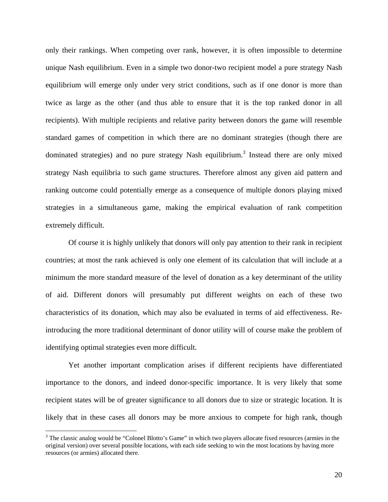only their rankings. When competing over rank, however, it is often impossible to determine unique Nash equilibrium. Even in a simple two donor-two recipient model a pure strategy Nash equilibrium will emerge only under very strict conditions, such as if one donor is more than twice as large as the other (and thus able to ensure that it is the top ranked donor in all recipients). With multiple recipients and relative parity between donors the game will resemble standard games of competition in which there are no dominant strategies (though there are dominated strategies) and no pure strategy Nash equilibrium.<sup>3</sup> Instead there are only mixed strategy Nash equilibria to such game structures. Therefore almost any given aid pattern and ranking outcome could potentially emerge as a consequence of multiple donors playing mixed strategies in a simultaneous game, making the empirical evaluation of rank competition extremely difficult.

 Of course it is highly unlikely that donors will only pay attention to their rank in recipient countries; at most the rank achieved is only one element of its calculation that will include at a minimum the more standard measure of the level of donation as a key determinant of the utility of aid. Different donors will presumably put different weights on each of these two characteristics of its donation, which may also be evaluated in terms of aid effectiveness. Reintroducing the more traditional determinant of donor utility will of course make the problem of identifying optimal strategies even more difficult.

 Yet another important complication arises if different recipients have differentiated importance to the donors, and indeed donor-specific importance. It is very likely that some recipient states will be of greater significance to all donors due to size or strategic location. It is likely that in these cases all donors may be more anxious to compete for high rank, though

 $\overline{a}$ 

<sup>&</sup>lt;sup>3</sup> The classic analog would be "Colonel Blotto's Game" in which two players allocate fixed resources (armies in the original version) over several possible locations, with each side seeking to win the most locations by having more resources (or armies) allocated there.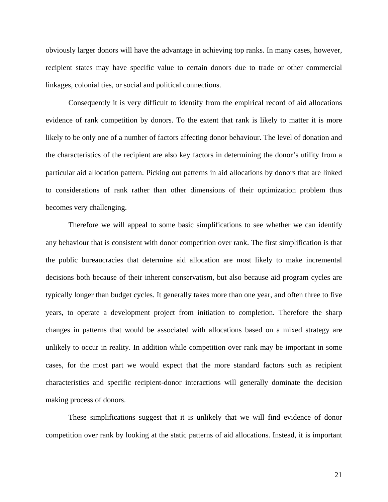obviously larger donors will have the advantage in achieving top ranks. In many cases, however, recipient states may have specific value to certain donors due to trade or other commercial linkages, colonial ties, or social and political connections.

 Consequently it is very difficult to identify from the empirical record of aid allocations evidence of rank competition by donors. To the extent that rank is likely to matter it is more likely to be only one of a number of factors affecting donor behaviour. The level of donation and the characteristics of the recipient are also key factors in determining the donor's utility from a particular aid allocation pattern. Picking out patterns in aid allocations by donors that are linked to considerations of rank rather than other dimensions of their optimization problem thus becomes very challenging.

 Therefore we will appeal to some basic simplifications to see whether we can identify any behaviour that is consistent with donor competition over rank. The first simplification is that the public bureaucracies that determine aid allocation are most likely to make incremental decisions both because of their inherent conservatism, but also because aid program cycles are typically longer than budget cycles. It generally takes more than one year, and often three to five years, to operate a development project from initiation to completion. Therefore the sharp changes in patterns that would be associated with allocations based on a mixed strategy are unlikely to occur in reality. In addition while competition over rank may be important in some cases, for the most part we would expect that the more standard factors such as recipient characteristics and specific recipient-donor interactions will generally dominate the decision making process of donors.

 These simplifications suggest that it is unlikely that we will find evidence of donor competition over rank by looking at the static patterns of aid allocations. Instead, it is important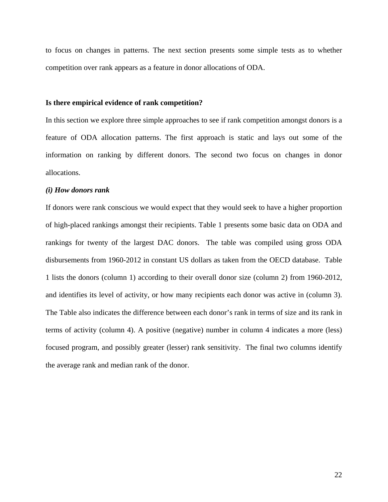to focus on changes in patterns. The next section presents some simple tests as to whether competition over rank appears as a feature in donor allocations of ODA.

#### **Is there empirical evidence of rank competition?**

In this section we explore three simple approaches to see if rank competition amongst donors is a feature of ODA allocation patterns. The first approach is static and lays out some of the information on ranking by different donors. The second two focus on changes in donor allocations.

#### *(i) How donors rank*

If donors were rank conscious we would expect that they would seek to have a higher proportion of high-placed rankings amongst their recipients. Table 1 presents some basic data on ODA and rankings for twenty of the largest DAC donors. The table was compiled using gross ODA disbursements from 1960-2012 in constant US dollars as taken from the OECD database. Table 1 lists the donors (column 1) according to their overall donor size (column 2) from 1960-2012, and identifies its level of activity, or how many recipients each donor was active in (column 3). The Table also indicates the difference between each donor's rank in terms of size and its rank in terms of activity (column 4). A positive (negative) number in column 4 indicates a more (less) focused program, and possibly greater (lesser) rank sensitivity. The final two columns identify the average rank and median rank of the donor.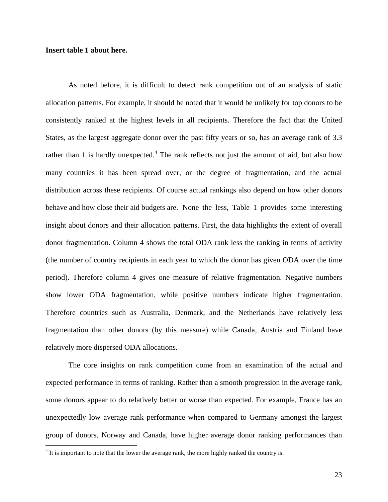## **Insert table 1 about here.**

 $\overline{a}$ 

 As noted before, it is difficult to detect rank competition out of an analysis of static allocation patterns. For example, it should be noted that it would be unlikely for top donors to be consistently ranked at the highest levels in all recipients. Therefore the fact that the United States, as the largest aggregate donor over the past fifty years or so, has an average rank of 3.3 rather than 1 is hardly unexpected.<sup>4</sup> The rank reflects not just the amount of aid, but also how many countries it has been spread over, or the degree of fragmentation, and the actual distribution across these recipients. Of course actual rankings also depend on how other donors behave and how close their aid budgets are. None the less, Table 1 provides some interesting insight about donors and their allocation patterns. First, the data highlights the extent of overall donor fragmentation. Column 4 shows the total ODA rank less the ranking in terms of activity (the number of country recipients in each year to which the donor has given ODA over the time period). Therefore column 4 gives one measure of relative fragmentation. Negative numbers show lower ODA fragmentation, while positive numbers indicate higher fragmentation. Therefore countries such as Australia, Denmark, and the Netherlands have relatively less fragmentation than other donors (by this measure) while Canada, Austria and Finland have relatively more dispersed ODA allocations.

 The core insights on rank competition come from an examination of the actual and expected performance in terms of ranking. Rather than a smooth progression in the average rank, some donors appear to do relatively better or worse than expected. For example, France has an unexpectedly low average rank performance when compared to Germany amongst the largest group of donors. Norway and Canada, have higher average donor ranking performances than

 $4$  It is important to note that the lower the average rank, the more highly ranked the country is.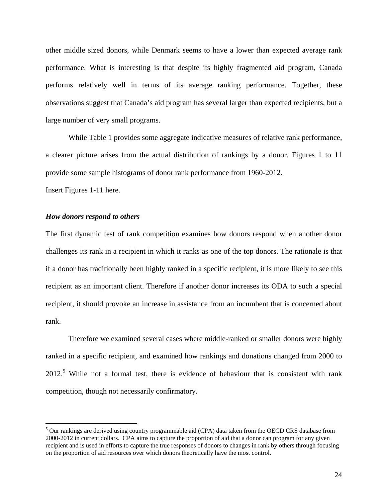other middle sized donors, while Denmark seems to have a lower than expected average rank performance. What is interesting is that despite its highly fragmented aid program, Canada performs relatively well in terms of its average ranking performance. Together, these observations suggest that Canada's aid program has several larger than expected recipients, but a large number of very small programs.

 While Table 1 provides some aggregate indicative measures of relative rank performance, a clearer picture arises from the actual distribution of rankings by a donor. Figures 1 to 11 provide some sample histograms of donor rank performance from 1960-2012.

Insert Figures 1-11 here.

 $\overline{a}$ 

### *How donors respond to others*

The first dynamic test of rank competition examines how donors respond when another donor challenges its rank in a recipient in which it ranks as one of the top donors. The rationale is that if a donor has traditionally been highly ranked in a specific recipient, it is more likely to see this recipient as an important client. Therefore if another donor increases its ODA to such a special recipient, it should provoke an increase in assistance from an incumbent that is concerned about rank.

 Therefore we examined several cases where middle-ranked or smaller donors were highly ranked in a specific recipient, and examined how rankings and donations changed from 2000 to  $2012<sup>5</sup>$  While not a formal test, there is evidence of behaviour that is consistent with rank competition, though not necessarily confirmatory.

<sup>&</sup>lt;sup>5</sup> Our rankings are derived using country programmable aid (CPA) data taken from the OECD CRS database from 2000-2012 in current dollars. CPA aims to capture the proportion of aid that a donor can program for any given recipient and is used in efforts to capture the true responses of donors to changes in rank by others through focusing on the proportion of aid resources over which donors theoretically have the most control.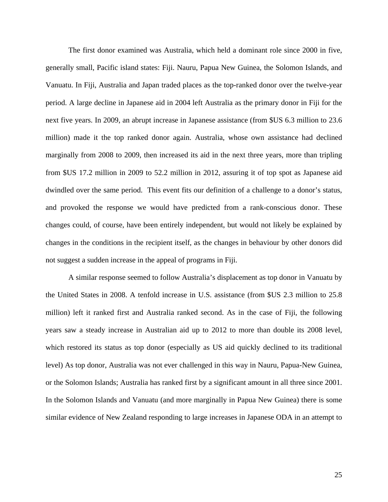The first donor examined was Australia, which held a dominant role since 2000 in five, generally small, Pacific island states: Fiji. Nauru, Papua New Guinea, the Solomon Islands, and Vanuatu. In Fiji, Australia and Japan traded places as the top-ranked donor over the twelve-year period. A large decline in Japanese aid in 2004 left Australia as the primary donor in Fiji for the next five years. In 2009, an abrupt increase in Japanese assistance (from \$US 6.3 million to 23.6 million) made it the top ranked donor again. Australia, whose own assistance had declined marginally from 2008 to 2009, then increased its aid in the next three years, more than tripling from \$US 17.2 million in 2009 to 52.2 million in 2012, assuring it of top spot as Japanese aid dwindled over the same period. This event fits our definition of a challenge to a donor's status, and provoked the response we would have predicted from a rank-conscious donor. These changes could, of course, have been entirely independent, but would not likely be explained by changes in the conditions in the recipient itself, as the changes in behaviour by other donors did not suggest a sudden increase in the appeal of programs in Fiji.

A similar response seemed to follow Australia's displacement as top donor in Vanuatu by the United States in 2008. A tenfold increase in U.S. assistance (from \$US 2.3 million to 25.8 million) left it ranked first and Australia ranked second. As in the case of Fiji, the following years saw a steady increase in Australian aid up to 2012 to more than double its 2008 level, which restored its status as top donor (especially as US aid quickly declined to its traditional level) As top donor, Australia was not ever challenged in this way in Nauru, Papua-New Guinea, or the Solomon Islands; Australia has ranked first by a significant amount in all three since 2001. In the Solomon Islands and Vanuatu (and more marginally in Papua New Guinea) there is some similar evidence of New Zealand responding to large increases in Japanese ODA in an attempt to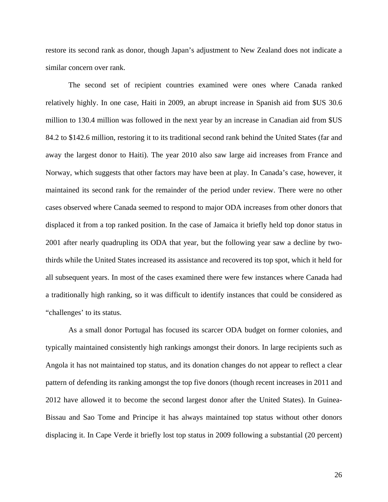restore its second rank as donor, though Japan's adjustment to New Zealand does not indicate a similar concern over rank.

 The second set of recipient countries examined were ones where Canada ranked relatively highly. In one case, Haiti in 2009, an abrupt increase in Spanish aid from \$US 30.6 million to 130.4 million was followed in the next year by an increase in Canadian aid from \$US 84.2 to \$142.6 million, restoring it to its traditional second rank behind the United States (far and away the largest donor to Haiti). The year 2010 also saw large aid increases from France and Norway, which suggests that other factors may have been at play. In Canada's case, however, it maintained its second rank for the remainder of the period under review. There were no other cases observed where Canada seemed to respond to major ODA increases from other donors that displaced it from a top ranked position. In the case of Jamaica it briefly held top donor status in 2001 after nearly quadrupling its ODA that year, but the following year saw a decline by twothirds while the United States increased its assistance and recovered its top spot, which it held for all subsequent years. In most of the cases examined there were few instances where Canada had a traditionally high ranking, so it was difficult to identify instances that could be considered as "challenges' to its status.

 As a small donor Portugal has focused its scarcer ODA budget on former colonies, and typically maintained consistently high rankings amongst their donors. In large recipients such as Angola it has not maintained top status, and its donation changes do not appear to reflect a clear pattern of defending its ranking amongst the top five donors (though recent increases in 2011 and 2012 have allowed it to become the second largest donor after the United States). In Guinea-Bissau and Sao Tome and Principe it has always maintained top status without other donors displacing it. In Cape Verde it briefly lost top status in 2009 following a substantial (20 percent)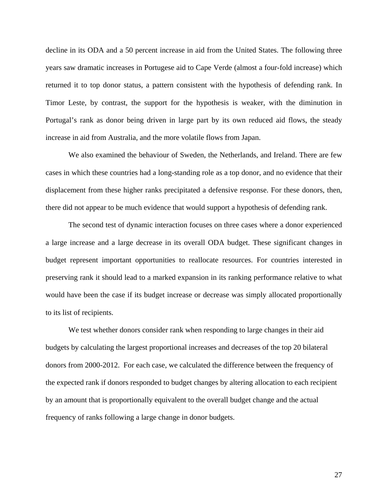decline in its ODA and a 50 percent increase in aid from the United States. The following three years saw dramatic increases in Portugese aid to Cape Verde (almost a four-fold increase) which returned it to top donor status, a pattern consistent with the hypothesis of defending rank. In Timor Leste, by contrast, the support for the hypothesis is weaker, with the diminution in Portugal's rank as donor being driven in large part by its own reduced aid flows, the steady increase in aid from Australia, and the more volatile flows from Japan.

 We also examined the behaviour of Sweden, the Netherlands, and Ireland. There are few cases in which these countries had a long-standing role as a top donor, and no evidence that their displacement from these higher ranks precipitated a defensive response. For these donors, then, there did not appear to be much evidence that would support a hypothesis of defending rank.

 The second test of dynamic interaction focuses on three cases where a donor experienced a large increase and a large decrease in its overall ODA budget. These significant changes in budget represent important opportunities to reallocate resources. For countries interested in preserving rank it should lead to a marked expansion in its ranking performance relative to what would have been the case if its budget increase or decrease was simply allocated proportionally to its list of recipients.

We test whether donors consider rank when responding to large changes in their aid budgets by calculating the largest proportional increases and decreases of the top 20 bilateral donors from 2000-2012. For each case, we calculated the difference between the frequency of the expected rank if donors responded to budget changes by altering allocation to each recipient by an amount that is proportionally equivalent to the overall budget change and the actual frequency of ranks following a large change in donor budgets.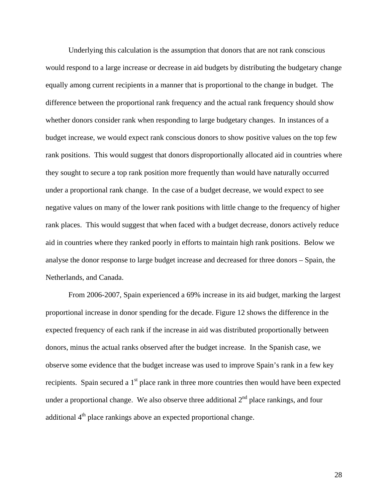Underlying this calculation is the assumption that donors that are not rank conscious would respond to a large increase or decrease in aid budgets by distributing the budgetary change equally among current recipients in a manner that is proportional to the change in budget. The difference between the proportional rank frequency and the actual rank frequency should show whether donors consider rank when responding to large budgetary changes. In instances of a budget increase, we would expect rank conscious donors to show positive values on the top few rank positions. This would suggest that donors disproportionally allocated aid in countries where they sought to secure a top rank position more frequently than would have naturally occurred under a proportional rank change. In the case of a budget decrease, we would expect to see negative values on many of the lower rank positions with little change to the frequency of higher rank places. This would suggest that when faced with a budget decrease, donors actively reduce aid in countries where they ranked poorly in efforts to maintain high rank positions. Below we analyse the donor response to large budget increase and decreased for three donors – Spain, the Netherlands, and Canada.

From 2006-2007, Spain experienced a 69% increase in its aid budget, marking the largest proportional increase in donor spending for the decade. Figure 12 shows the difference in the expected frequency of each rank if the increase in aid was distributed proportionally between donors, minus the actual ranks observed after the budget increase. In the Spanish case, we observe some evidence that the budget increase was used to improve Spain's rank in a few key recipients. Spain secured a  $1<sup>st</sup>$  place rank in three more countries then would have been expected under a proportional change. We also observe three additional  $2<sup>nd</sup>$  place rankings, and four additional  $4<sup>th</sup>$  place rankings above an expected proportional change.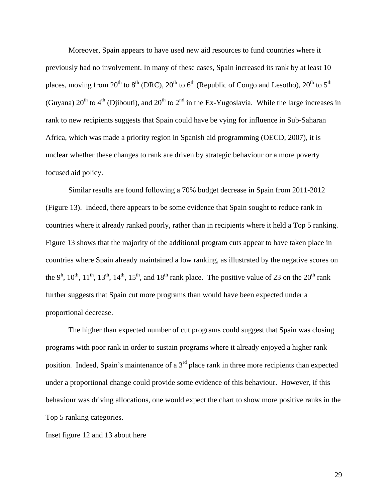Moreover, Spain appears to have used new aid resources to fund countries where it previously had no involvement. In many of these cases, Spain increased its rank by at least 10 places, moving from 20<sup>th</sup> to 8<sup>th</sup> (DRC), 20<sup>th</sup> to 6<sup>th</sup> (Republic of Congo and Lesotho), 20<sup>th</sup> to 5<sup>th</sup> (Guyana)  $20^{th}$  to  $4^{th}$  (Djibouti), and  $20^{th}$  to  $2^{nd}$  in the Ex-Yugoslavia. While the large increases in rank to new recipients suggests that Spain could have be vying for influence in Sub-Saharan Africa, which was made a priority region in Spanish aid programming (OECD, 2007), it is unclear whether these changes to rank are driven by strategic behaviour or a more poverty focused aid policy.

Similar results are found following a 70% budget decrease in Spain from 2011-2012 (Figure 13). Indeed, there appears to be some evidence that Spain sought to reduce rank in countries where it already ranked poorly, rather than in recipients where it held a Top 5 ranking. Figure 13 shows that the majority of the additional program cuts appear to have taken place in countries where Spain already maintained a low ranking, as illustrated by the negative scores on the 9<sup>h</sup>, 10<sup>th</sup>, 11<sup>th</sup>, 13<sup>th</sup>, 14<sup>th</sup>, 15<sup>th</sup>, and 18<sup>th</sup> rank place. The positive value of 23 on the 20<sup>th</sup> rank further suggests that Spain cut more programs than would have been expected under a proportional decrease.

 The higher than expected number of cut programs could suggest that Spain was closing programs with poor rank in order to sustain programs where it already enjoyed a higher rank position. Indeed, Spain's maintenance of a  $3<sup>rd</sup>$  place rank in three more recipients than expected under a proportional change could provide some evidence of this behaviour. However, if this behaviour was driving allocations, one would expect the chart to show more positive ranks in the Top 5 ranking categories.

Inset figure 12 and 13 about here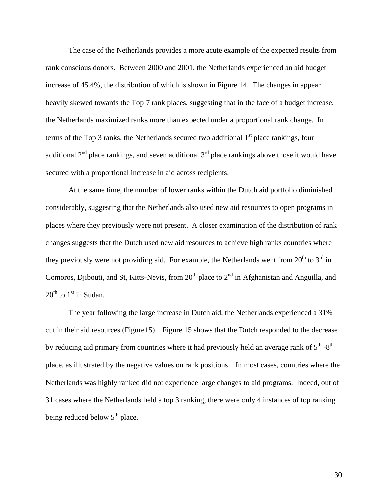The case of the Netherlands provides a more acute example of the expected results from rank conscious donors. Between 2000 and 2001, the Netherlands experienced an aid budget increase of 45.4%, the distribution of which is shown in Figure 14. The changes in appear heavily skewed towards the Top 7 rank places, suggesting that in the face of a budget increase, the Netherlands maximized ranks more than expected under a proportional rank change. In terms of the Top 3 ranks, the Netherlands secured two additional  $1<sup>st</sup>$  place rankings, four additional  $2<sup>nd</sup>$  place rankings, and seven additional  $3<sup>rd</sup>$  place rankings above those it would have secured with a proportional increase in aid across recipients.

At the same time, the number of lower ranks within the Dutch aid portfolio diminished considerably, suggesting that the Netherlands also used new aid resources to open programs in places where they previously were not present. A closer examination of the distribution of rank changes suggests that the Dutch used new aid resources to achieve high ranks countries where they previously were not providing aid. For example, the Netherlands went from  $20^{th}$  to  $3^{rd}$  in Comoros, Djibouti, and St, Kitts-Nevis, from 20<sup>th</sup> place to 2<sup>nd</sup> in Afghanistan and Anguilla, and  $20^{th}$  to  $1^{st}$  in Sudan.

 The year following the large increase in Dutch aid, the Netherlands experienced a 31% cut in their aid resources (Figure15). Figure 15 shows that the Dutch responded to the decrease by reducing aid primary from countries where it had previously held an average rank of  $5<sup>th</sup> -8<sup>th</sup>$ place, as illustrated by the negative values on rank positions. In most cases, countries where the Netherlands was highly ranked did not experience large changes to aid programs. Indeed, out of 31 cases where the Netherlands held a top 3 ranking, there were only 4 instances of top ranking being reduced below  $5<sup>th</sup>$  place.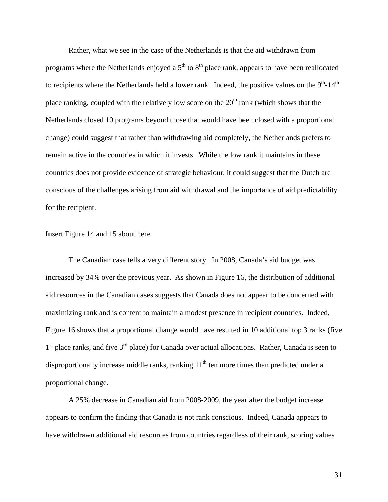Rather, what we see in the case of the Netherlands is that the aid withdrawn from programs where the Netherlands enjoyed a  $5<sup>th</sup>$  to  $8<sup>th</sup>$  place rank, appears to have been reallocated to recipients where the Netherlands held a lower rank. Indeed, the positive values on the  $9<sup>th</sup>$ -14<sup>th</sup> place ranking, coupled with the relatively low score on the  $20<sup>th</sup>$  rank (which shows that the Netherlands closed 10 programs beyond those that would have been closed with a proportional change) could suggest that rather than withdrawing aid completely, the Netherlands prefers to remain active in the countries in which it invests. While the low rank it maintains in these countries does not provide evidence of strategic behaviour, it could suggest that the Dutch are conscious of the challenges arising from aid withdrawal and the importance of aid predictability for the recipient.

## Insert Figure 14 and 15 about here

The Canadian case tells a very different story. In 2008, Canada's aid budget was increased by 34% over the previous year. As shown in Figure 16, the distribution of additional aid resources in the Canadian cases suggests that Canada does not appear to be concerned with maximizing rank and is content to maintain a modest presence in recipient countries. Indeed, Figure 16 shows that a proportional change would have resulted in 10 additional top 3 ranks (five  $1<sup>st</sup>$  place ranks, and five  $3<sup>rd</sup>$  place) for Canada over actual allocations. Rather, Canada is seen to disproportionally increase middle ranks, ranking 11<sup>th</sup> ten more times than predicted under a proportional change.

 A 25% decrease in Canadian aid from 2008-2009, the year after the budget increase appears to confirm the finding that Canada is not rank conscious. Indeed, Canada appears to have withdrawn additional aid resources from countries regardless of their rank, scoring values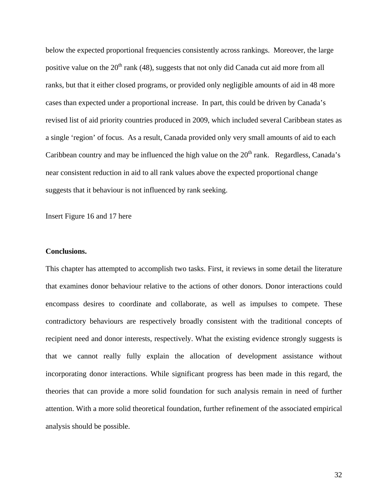below the expected proportional frequencies consistently across rankings. Moreover, the large positive value on the  $20<sup>th</sup>$  rank (48), suggests that not only did Canada cut aid more from all ranks, but that it either closed programs, or provided only negligible amounts of aid in 48 more cases than expected under a proportional increase. In part, this could be driven by Canada's revised list of aid priority countries produced in 2009, which included several Caribbean states as a single 'region' of focus. As a result, Canada provided only very small amounts of aid to each Caribbean country and may be influenced the high value on the  $20<sup>th</sup>$  rank. Regardless, Canada's near consistent reduction in aid to all rank values above the expected proportional change suggests that it behaviour is not influenced by rank seeking.

Insert Figure 16 and 17 here

#### **Conclusions.**

This chapter has attempted to accomplish two tasks. First, it reviews in some detail the literature that examines donor behaviour relative to the actions of other donors. Donor interactions could encompass desires to coordinate and collaborate, as well as impulses to compete. These contradictory behaviours are respectively broadly consistent with the traditional concepts of recipient need and donor interests, respectively. What the existing evidence strongly suggests is that we cannot really fully explain the allocation of development assistance without incorporating donor interactions. While significant progress has been made in this regard, the theories that can provide a more solid foundation for such analysis remain in need of further attention. With a more solid theoretical foundation, further refinement of the associated empirical analysis should be possible.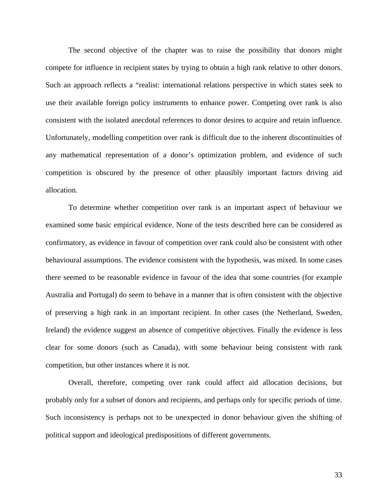The second objective of the chapter was to raise the possibility that donors might compete for influence in recipient states by trying to obtain a high rank relative to other donors. Such an approach reflects a "realist: international relations perspective in which states seek to use their available foreign policy instruments to enhance power. Competing over rank is also consistent with the isolated anecdotal references to donor desires to acquire and retain influence. Unfortunately, modelling competition over rank is difficult due to the inherent discontinuities of any mathematical representation of a donor's optimization problem, and evidence of such competition is obscured by the presence of other plausibly important factors driving aid allocation.

 To determine whether competition over rank is an important aspect of behaviour we examined some basic empirical evidence. None of the tests described here can be considered as confirmatory, as evidence in favour of competition over rank could also be consistent with other behavioural assumptions. The evidence consistent with the hypothesis, was mixed. In some cases there seemed to be reasonable evidence in favour of the idea that some countries (for example Australia and Portugal) do seem to behave in a manner that is often consistent with the objective of preserving a high rank in an important recipient. In other cases (the Netherland, Sweden, Ireland) the evidence suggest an absence of competitive objectives. Finally the evidence is less clear for some donors (such as Canada), with some behaviour being consistent with rank competition, but other instances where it is not.

 Overall, therefore, competing over rank could affect aid allocation decisions, but probably only for a subset of donors and recipients, and perhaps only for specific periods of time. Such inconsistency is perhaps not to be unexpected in donor behaviour given the shifting of political support and ideological predispositions of different governments.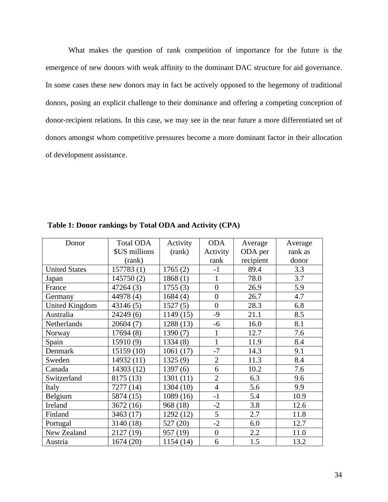What makes the question of rank competition of importance for the future is the emergence of new donors with weak affinity to the dominant DAC structure for aid governance. In some cases these new donors may in fact be actively opposed to the hegemony of traditional donors, posing an explicit challenge to their dominance and offering a competing conception of donor-recipient relations. In this case, we may see in the near future a more differentiated set of donors amongst whom competitive pressures become a more dominant factor in their allocation of development assistance.

| Donor                 | Total ODA     | Activity  | <b>ODA</b>     | Average   | Average |
|-----------------------|---------------|-----------|----------------|-----------|---------|
|                       | \$US millions | (rank)    | Activity       | ODA per   | rank as |
|                       | (rank)        |           | rank           | recipient | donor   |
| <b>United States</b>  | 157783 (1)    | 1765(2)   | $-1$           | 89.4      | 3.3     |
| Japan                 | 145750(2)     | 1868(1)   | 1              | 78.0      | 3.7     |
| France                | 47264 (3)     | 1755(3)   | $\overline{0}$ | 26.9      | 5.9     |
| Germany               | 44978 (4)     | 1684(4)   | $\overline{0}$ | 26.7      | 4.7     |
| <b>United Kingdom</b> | 43146(5)      | 1527(5)   | $\overline{0}$ | 28.3      | 6.8     |
| Australia             | 24249(6)      | 1149(15)  | $-9$           | 21.1      | 8.5     |
| Netherlands           | 20604 (7)     | 1288 (13) | $-6$           | 16.0      | 8.1     |
| Norway                | 17694(8)      | 1390(7)   | $\mathbf{1}$   | 12.7      | 7.6     |
| Spain                 | 15910(9)      | 1334(8)   | $\mathbf{1}$   | 11.9      | 8.4     |
| Denmark               | 15159 (10)    | 1061(17)  | $-7$           | 14.3      | 9.1     |
| Sweden                | 14932 (11)    | 1325(9)   | $\overline{2}$ | 11.3      | 8.4     |
| Canada                | 14303 (12)    | 1397(6)   | 6              | 10.2      | 7.6     |
| Switzerland           | 8175 (13)     | 1301(11)  | $\overline{2}$ | 6.3       | 9.6     |
| Italy                 | 7277 (14)     | 1304 (10) | $\overline{4}$ | 5.6       | 9.9     |
| Belgium               | 5874 (15)     | 1089(16)  | $-1$           | 5.4       | 10.9    |
| Ireland               | 3672(16)      | 968 (18)  | $-2$           | 3.8       | 12.6    |
| Finland               | 3463 (17)     | 1292 (12) | 5              | 2.7       | 11.8    |
| Portugal              | 3140 (18)     | 527 (20)  | $-2$           | 6.0       | 12.7    |
| New Zealand           | 2127 (19)     | 957 (19)  | $\overline{0}$ | 2.2       | 11.0    |
| Austria               | 1674 (20)     | 1154 (14) | 6              | 1.5       | 13.2    |

**Table 1: Donor rankings by Total ODA and Activity (CPA)**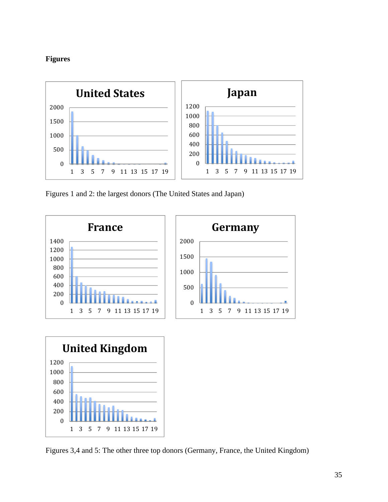# **Figures**

 $\theta$ 

1 3 5 7 9 11 13 15 17 19



Figures 1 and 2: the largest donors (The United States and Japan)



Figures 3,4 and 5: The other three top donors (Germany, France, the United Kingdom)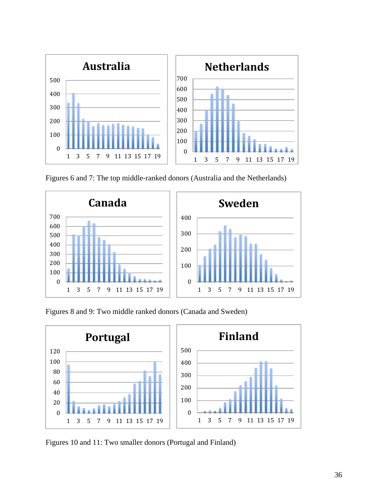

Figures 6 and 7: The top middle-ranked donors (Australia and the Netherlands)



Figures 8 and 9: Two middle ranked donors (Canada and Sweden)



Figures 10 and 11: Two smaller donors (Portugal and Finland)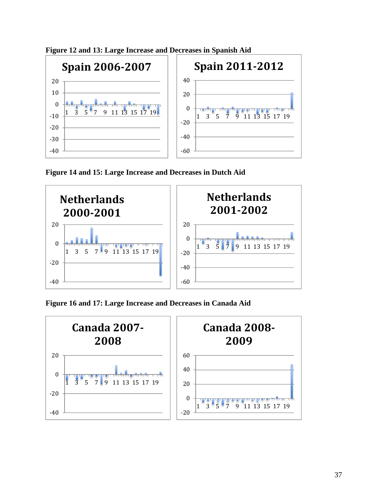

**Figure 12 and 13: Large Increase and Decreases in Spanish Aid** 

**Figure 14 and 15: Large Increase and Decreases in Dutch Aid**



**Figure 16 and 17: Large Increase and Decreases in Canada Aid**

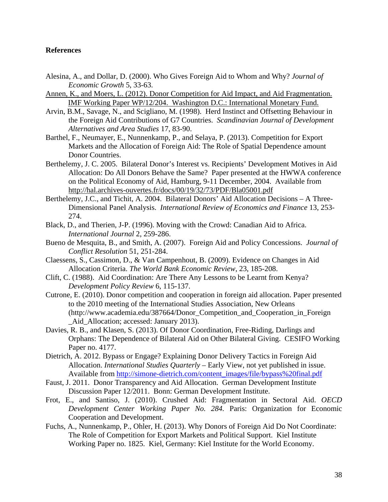## **References**

- Alesina, A., and Dollar, D. (2000). Who Gives Foreign Aid to Whom and Why? *Journal of Economic Growth* 5, 33-63.
- Annen, K., and Moers, L. (2012). Donor Competition for Aid Impact, and Aid Fragmentation. IMF Working Paper WP/12/204. Washington D.C.: International Monetary Fund.
- Arvin, B.M., Savage, N., and Scigliano, M. (1998). Herd Instinct and Offsetting Behaviour in the Foreign Aid Contributions of G7 Countries. *Scandinavian Journal of Development Alternatives and Area Studies* 17, 83-90.
- Barthel, F., Neumayer, E., Nunnenkamp, P., and Selaya, P. (2013). Competition for Export Markets and the Allocation of Foreign Aid: The Role of Spatial Dependence amount Donor Countries.
- Berthelemy, J. C. 2005. Bilateral Donor's Interest vs. Recipients' Development Motives in Aid Allocation: Do All Donors Behave the Same? Paper presented at the HWWA conference on the Political Economy of Aid, Hamburg, 9-11 December, 2004. Available from http://hal.archives-ouvertes.fr/docs/00/19/32/73/PDF/Bla05001.pdf
- Berthelemy, J.C., and Tichit, A. 2004. Bilateral Donors' Aid Allocation Decisions A Three-Dimensional Panel Analysis. *International Review of Economics and Finance* 13, 253- 274.
- Black, D., and Therien, J-P. (1996). Moving with the Crowd: Canadian Aid to Africa. *International Journal* 2, 259-286.
- Bueno de Mesquita, B., and Smith, A. (2007). Foreign Aid and Policy Concessions. *Journal of Conflict Resolution* 51, 251-284.
- Claessens, S., Cassimon, D., & Van Campenhout, B. (2009). Evidence on Changes in Aid Allocation Criteria. *The World Bank Economic Review*, 23, 185-208.
- Clift, C. (1988). Aid Coordination: Are There Any Lessons to be Learnt from Kenya? *Development Policy Review* 6, 115-137.
- Cutrone, E. (2010). Donor competition and cooperation in foreign aid allocation. Paper presented to the 2010 meeting of the International Studies Association, New Orleans (http://www.academia.edu/387664/Donor\_Competition\_and\_Cooperation\_in\_Foreign Aid Allocation; accessed: January 2013).
- Davies, R. B., and Klasen, S. (2013). Of Donor Coordination, Free-Riding, Darlings and Orphans: The Dependence of Bilateral Aid on Other Bilateral Giving. CESIFO Working Paper no. 4177.
- Dietrich, A. 2012. Bypass or Engage? Explaining Donor Delivery Tactics in Foreign Aid Allocation. *International Studies Quarterly* – Early View, not yet published in issue. Available from http://simone-dietrich.com/content\_images/file/bypass%20final.pdf
- Faust, J. 2011. Donor Transparency and Aid Allocation. German Development Institute Discussion Paper 12/2011. Bonn: German Development Institute.
- Frot, E., and Santiso, J. (2010). Crushed Aid: Fragmentation in Sectoral Aid. *OECD Development Center Working Paper No. 284.* Paris: Organization for Economic Cooperation and Development.
- Fuchs, A., Nunnenkamp, P., Ohler, H. (2013). Why Donors of Foreign Aid Do Not Coordinate: The Role of Competition for Export Markets and Political Support. Kiel Institute Working Paper no. 1825. Kiel, Germany: Kiel Institute for the World Economy.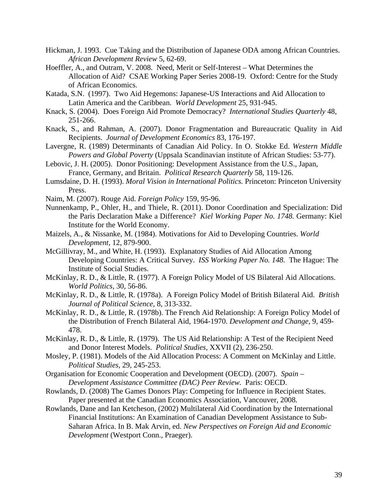- Hickman, J. 1993. Cue Taking and the Distribution of Japanese ODA among African Countries. *African Development Review* 5, 62-69.
- Hoeffler, A., and Outram, V. 2008. Need, Merit or Self-Interest What Determines the Allocation of Aid? CSAE Working Paper Series 2008-19. Oxford: Centre for the Study of African Economics.
- Katada, S.N. (1997). Two Aid Hegemons: Japanese-US Interactions and Aid Allocation to Latin America and the Caribbean. *World Development* 25, 931-945.
- Knack, S. (2004). Does Foreign Aid Promote Democracy? *International Studies Quarterly* 48, 251-266.
- Knack, S., and Rahman, A. (2007). Donor Fragmentation and Bureaucratic Quality in Aid Recipients. *Journal of Development Economics* 83, 176-197.
- Lavergne, R. (1989) Determinants of Canadian Aid Policy. In O. Stokke Ed. *Western Middle Powers and Global Poverty* (Uppsala Scandinavian institute of African Studies: 53-77).
- Lebovic, J. H. (2005). Donor Positioning: Development Assistance from the U.S., Japan, France, Germany, and Britain. *Political Research Quarterly* 58, 119-126.
- Lumsdaine, D. H. (1993). *Moral Vision in International Politics.* Princeton: Princeton University Press.
- Naim, M. (2007). Rouge Aid. *Foreign Policy* 159, 95-96.
- Nunnenkamp, P., Ohler, H., and Thiele, R. (2011). Donor Coordination and Specialization: Did the Paris Declaration Make a Difference? *Kiel Working Paper No. 1748.* Germany: Kiel Institute for the World Economy.
- Maizels, A., & Nissanke, M. (1984). Motivations for Aid to Developing Countries. *World Development,* 12, 879-900.
- McGillivray, M., and White, H. (1993). Explanatory Studies of Aid Allocation Among Developing Countries: A Critical Survey. *ISS Working Paper No. 148.* The Hague: The Institute of Social Studies.
- McKinlay, R. D., & Little, R. (1977). A Foreign Policy Model of US Bilateral Aid Allocations. *World Politics,* 30, 56-86.
- McKinlay, R. D., & Little, R. (1978a). A Foreign Policy Model of British Bilateral Aid. *British Journal of Political Science*, 8, 313-332.
- McKinlay, R. D., & Little, R. (1978b). The French Aid Relationship: A Foreign Policy Model of the Distribution of French Bilateral Aid, 1964-1970. *Development and Change,* 9, 459- 478.
- McKinlay, R. D., & Little, R. (1979). The US Aid Relationship: A Test of the Recipient Need and Donor Interest Models. *Political Studies,* XXVII (2), 236-250.
- Mosley, P. (1981). Models of the Aid Allocation Process: A Comment on McKinlay and Little. *Political Studies,* 29, 245-253.
- Organisation for Economic Cooperation and Development (OECD). (2007). *Spain Development Assistance Committee (DAC) Peer Review.* Paris: OECD.
- Rowlands, D. (2008) The Games Donors Play: Competing for Influence in Recipient States. Paper presented at the Canadian Economics Association, Vancouver, 2008.
- Rowlands, Dane and Ian Ketcheson, (2002) Multilateral Aid Coordination by the International Financial Institutions: An Examination of Canadian Development Assistance to Sub-Saharan Africa. In B. Mak Arvin, ed. *New Perspectives on Foreign Aid and Economic Development* (Westport Conn., Praeger).